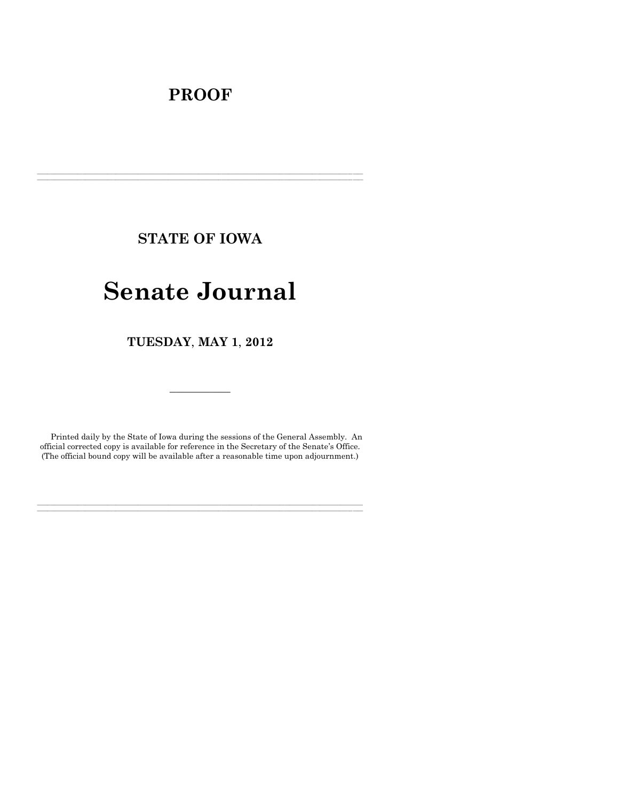# **PROOF**

**STATE OF IOWA**

**\_\_\_\_\_\_\_\_\_\_\_\_\_\_\_\_\_\_\_\_\_\_\_\_\_\_\_\_\_\_\_\_\_\_\_\_\_\_\_\_\_\_\_\_\_\_\_\_\_\_\_\_\_\_\_\_\_\_\_\_\_\_\_\_\_\_\_\_\_\_\_\_\_\_\_\_\_\_\_\_\_\_\_\_\_\_\_\_\_\_\_\_\_\_\_\_\_\_\_\_\_\_\_\_\_\_\_\_\_\_\_\_\_\_\_\_\_\_\_\_\_\_\_\_\_\_\_\_\_ \_\_\_\_\_\_\_\_\_\_\_\_\_\_\_\_\_\_\_\_\_\_\_\_\_\_\_\_\_\_\_\_\_\_\_\_\_\_\_\_\_\_\_\_\_\_\_\_\_\_\_\_\_\_\_\_\_\_\_\_\_\_\_\_\_\_\_\_\_\_\_\_\_\_\_\_\_\_\_\_\_\_\_\_\_\_\_\_\_\_\_\_\_\_\_\_\_\_\_\_\_\_\_\_\_\_\_\_\_\_\_\_\_\_\_\_\_\_\_\_\_\_\_\_\_\_\_\_\_**

# **Senate Journal**

**TUESDAY**, **MAY 1**, **2012**

Printed daily by the State of Iowa during the sessions of the General Assembly. An official corrected copy is available for reference in the Secretary of the Senate's Office. (The official bound copy will be available after a reasonable time upon adjournment.)

**\_\_\_\_\_\_\_\_\_\_\_\_\_\_\_\_\_\_\_\_\_\_\_\_\_\_\_\_\_\_\_\_\_\_\_\_\_\_\_\_\_\_\_\_\_\_\_\_\_\_\_\_\_\_\_\_\_\_\_\_\_\_\_\_\_\_\_\_\_\_\_\_\_\_\_\_\_\_\_\_\_\_\_\_\_\_\_\_\_\_\_\_\_\_\_\_\_\_\_\_\_\_\_\_\_\_\_\_\_\_\_\_\_\_\_\_\_\_\_\_\_\_\_\_\_\_\_\_\_ \_\_\_\_\_\_\_\_\_\_\_\_\_\_\_\_\_\_\_\_\_\_\_\_\_\_\_\_\_\_\_\_\_\_\_\_\_\_\_\_\_\_\_\_\_\_\_\_\_\_\_\_\_\_\_\_\_\_\_\_\_\_\_\_\_\_\_\_\_\_\_\_\_\_\_\_\_\_\_\_\_\_\_\_\_\_\_\_\_\_\_\_\_\_\_\_\_\_\_\_\_\_\_\_\_\_\_\_\_\_\_\_\_\_\_\_\_\_\_\_\_\_\_\_\_\_\_\_\_**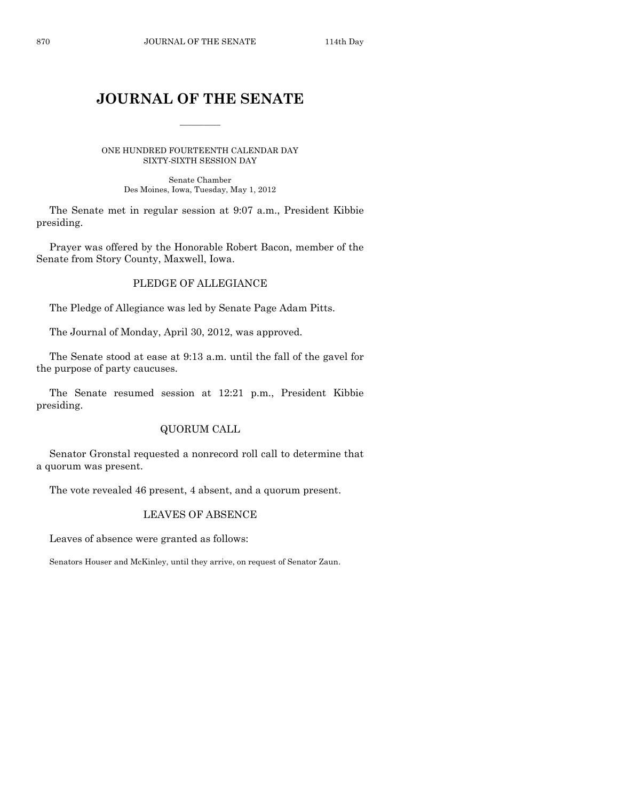# **JOURNAL OF THE SENATE**

 $\overline{\phantom{a}}$ 

ONE HUNDRED FOURTEENTH CALENDAR DAY SIXTY-SIXTH SESSION DAY

> Senate Chamber Des Moines, Iowa, Tuesday, May 1, 2012

The Senate met in regular session at 9:07 a.m., President Kibbie presiding.

Prayer was offered by the Honorable Robert Bacon, member of the Senate from Story County, Maxwell, Iowa.

## PLEDGE OF ALLEGIANCE

The Pledge of Allegiance was led by Senate Page Adam Pitts.

The Journal of Monday, April 30, 2012, was approved.

The Senate stood at ease at 9:13 a.m. until the fall of the gavel for the purpose of party caucuses.

The Senate resumed session at 12:21 p.m., President Kibbie presiding.

## QUORUM CALL

Senator Gronstal requested a nonrecord roll call to determine that a quorum was present.

The vote revealed 46 present, 4 absent, and a quorum present.

### LEAVES OF ABSENCE

Leaves of absence were granted as follows:

Senators Houser and McKinley, until they arrive, on request of Senator Zaun.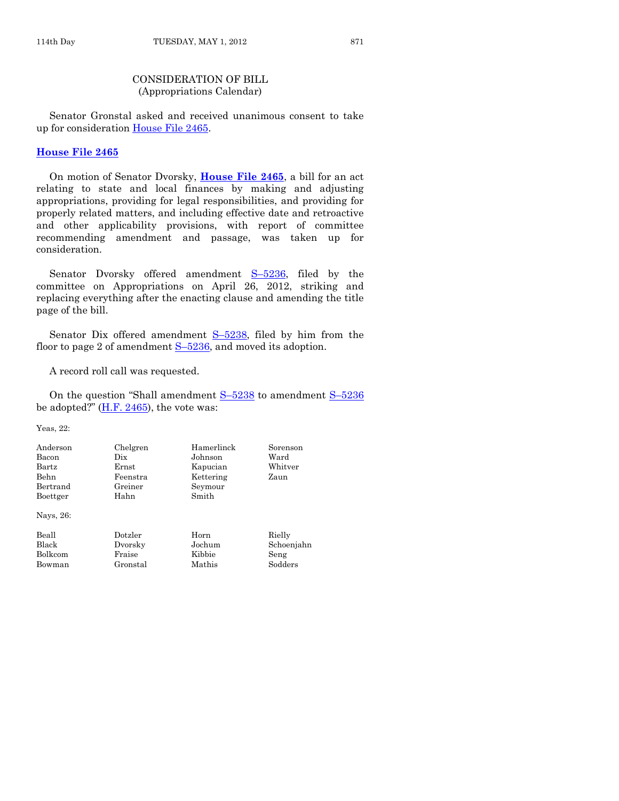#### CONSIDERATION OF BILL (Appropriations Calendar)

Senator Gronstal asked and received unanimous consent to take up for consideration [House File 2465.](http://coolice.legis.state.ia.us/Cool-ICE/default.asp?Category=billinfo&Service=Billbook&frame=1&GA=84&hbill=HF2465)

## **[House File 2465](http://coolice.legis.state.ia.us/Cool-ICE/default.asp?Category=billinfo&Service=Billbook&frame=1&GA=84&hbill=HF2465)**

On motion of Senator Dvorsky, **[House File 2465](http://coolice.legis.state.ia.us/Cool-ICE/default.asp?Category=billinfo&Service=Billbook&frame=1&GA=84&hbill=HF2465)**, a bill for an act relating to state and local finances by making and adjusting appropriations, providing for legal responsibilities, and providing for properly related matters, and including effective date and retroactive and other applicability provisions, with report of committee recommending amendment and passage, was taken up for consideration.

Senator Dvorsky offered amendment S–[5236,](http://coolice.legis.state.ia.us/Cool-ICE/default.asp?Category=billinfo&Service=Billbook&frame=1&GA=84&hbill=S5236) filed by the committee on Appropriations on April 26, 2012, striking and replacing everything after the enacting clause and amending the title page of the bill.

Senator Dix offered amendment  $S-5238$ , filed by him from the floor to page 2 of amendment  $S-5236$ , and moved its adoption.

A record roll call was requested.

On the question "Shall amendment S–[5238](http://coolice.legis.state.ia.us/Cool-ICE/default.asp?Category=billinfo&Service=Billbook&frame=1&GA=84&hbill=S5238) to amendment S–[5236](http://coolice.legis.state.ia.us/Cool-ICE/default.asp?Category=billinfo&Service=Billbook&frame=1&GA=84&hbill=S5236) be adopted?" [\(H.F. 2465\)](http://coolice.legis.state.ia.us/Cool-ICE/default.asp?Category=billinfo&Service=Billbook&frame=1&GA=84&hbill=HF2465), the vote was:

Yeas, 22:

| Anderson     | Chelgren | Hamerlinck | Sorenson   |
|--------------|----------|------------|------------|
| Bacon        | Dix      | Johnson    | Ward       |
| Bartz        | Ernst    | Kapucian   | Whitver    |
| Behn         | Feenstra | Kettering  | Zaun       |
| Bertrand     | Greiner  | Seymour    |            |
| Boettger     | Hahn     | Smith      |            |
| Nays, 26:    |          |            |            |
| Beall        | Dotzler  | Horn       | Rielly     |
| <b>Black</b> | Dvorsky  | Jochum     | Schoenjahn |
| Bolkcom      | Fraise   | Kibbie     | Seng       |
| Bowman       | Gronstal | Mathis     | Sodders    |
|              |          |            |            |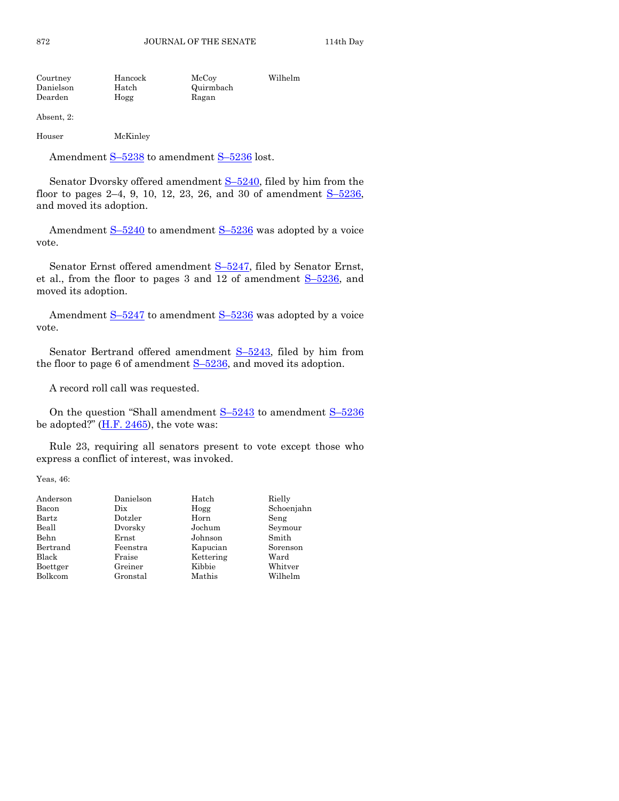| Courtney  | Hancock | McCoy     | Wilhelm |
|-----------|---------|-----------|---------|
| Danielson | Hatch   | Quirmbach |         |
| Dearden   | Hogg    | Ragan     |         |

Absent, 2:

Houser McKinley

Amendment S-[5238](http://coolice.legis.state.ia.us/Cool-ICE/default.asp?Category=billinfo&Service=Billbook&frame=1&GA=84&hbill=S5238) to amendment S-[5236](http://coolice.legis.state.ia.us/Cool-ICE/default.asp?Category=billinfo&Service=Billbook&frame=1&GA=84&hbill=S5236) lost.

Senator Dvorsky offered amendment  $S-5240$ , filed by him from the floor to pages 2–4, 9, 10, 12, 23, 26, and 30 of amendment  $S-5236$ , and moved its adoption.

Amendment  $S-5240$  $S-5240$  to amendment  $S-5236$  $S-5236$  was adopted by a voice vote.

Senator Ernst offered amendment S-[5247,](http://coolice.legis.state.ia.us/Cool-ICE/default.asp?Category=billinfo&Service=Billbook&frame=1&GA=84&hbill=S5247) filed by Senator Ernst, et al., from the floor to pages 3 and 12 of amendment S–[5236,](http://coolice.legis.state.ia.us/Cool-ICE/default.asp?Category=billinfo&Service=Billbook&frame=1&GA=84&hbill=S5236) and moved its adoption.

Amendment  $S-5247$  $S-5247$  to amendment  $S-5236$  $S-5236$  was adopted by a voice vote.

Senator Bertrand offered amendment S–[5243,](http://coolice.legis.state.ia.us/Cool-ICE/default.asp?Category=billinfo&Service=Billbook&frame=1&GA=84&hbill=S5243) filed by him from the floor to page 6 of amendment  $S-5236$ , and moved its adoption.

A record roll call was requested.

On the question "Shall amendment  $S-5243$  $S-5243$  to amendment  $S-5236$  $S-5236$ be adopted?"  $(H.F. 2465)$ , the vote was:

Rule 23, requiring all senators present to vote except those who express a conflict of interest, was invoked.

Yeas, 46:

| Anderson | Danielson | Hatch     | Rielly     |
|----------|-----------|-----------|------------|
| Bacon    | Dix       | Hogg      | Schoenjahn |
| Bartz    | Dotzler   | Horn      | Seng       |
| Beall    | Dvorsky   | Jochum    | Seymour    |
| Behn     | Ernst     | Johnson   | Smith      |
| Bertrand | Feenstra  | Kapucian  | Sorenson   |
| Black    | Fraise    | Kettering | Ward       |
| Boettger | Greiner   | Kibbie    | Whitver    |
| Bolkcom  | Gronstal  | Mathis    | Wilhelm    |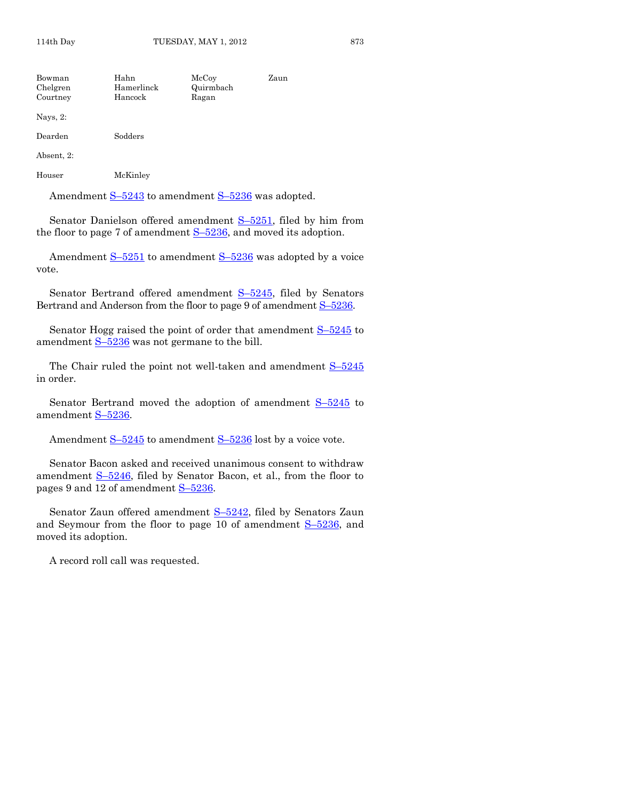| Bowman<br>Chelgren<br>Courtney | Hahn<br>Hamerlinck<br>Hancock | McCoy<br>Quirmbach<br>Ragan | Zaun |
|--------------------------------|-------------------------------|-----------------------------|------|
| Nays, $2$ :                    |                               |                             |      |
| Dearden                        | Sodders                       |                             |      |
| Absent, 2:                     |                               |                             |      |
| Houser                         | McKinley                      |                             |      |

Amendment  $S-5243$  $S-5243$  to amendment  $S-5236$  $S-5236$  was adopted.

Senator Danielson offered amendment  $S-5251$ , filed by him from the floor to page 7 of amendment  $S-5236$ , and moved its adoption.

Amendment  $S-5251$  $S-5251$  to amendment  $S-5236$  $S-5236$  was adopted by a voice vote.

Senator Bertrand offered amendment S-[5245,](http://coolice.legis.state.ia.us/Cool-ICE/default.asp?Category=billinfo&Service=Billbook&frame=1&GA=84&hbill=S5245) filed by Senators Bertrand and Anderson from the floor to page 9 of amendment  $S-5236$ .

Senator Hogg raised the point of order that amendment  $S-5245$  $S-5245$  to amendment  $S-5236$  $S-5236$  was not germane to the bill.

The Chair ruled the point not well-taken and amendment  $S-5245$  $S-5245$ in order.

Senator Bertrand moved the adoption of amendment  $S-5245$  $S-5245$  to amendment S-[5236.](http://coolice.legis.state.ia.us/Cool-ICE/default.asp?Category=billinfo&Service=Billbook&frame=1&GA=84&hbill=S5236)

Amendment  $S-5245$  $S-5245$  to amendment  $S-5236$  $S-5236$  lost by a voice vote.

Senator Bacon asked and received unanimous consent to withdraw amendment <u>S-5246</u>, filed by Senator Bacon, et al., from the floor to pages 9 and 12 of amendment S–[5236.](http://coolice.legis.state.ia.us/Cool-ICE/default.asp?Category=billinfo&Service=Billbook&frame=1&GA=84&hbill=S5236)

Senator Zaun offered amendment S-[5242,](http://coolice.legis.state.ia.us/Cool-ICE/default.asp?Category=billinfo&Service=Billbook&frame=1&GA=84&hbill=S5242) filed by Senators Zaun and Seymour from the floor to page 10 of amendment  $S-5236$ , and moved its adoption.

A record roll call was requested.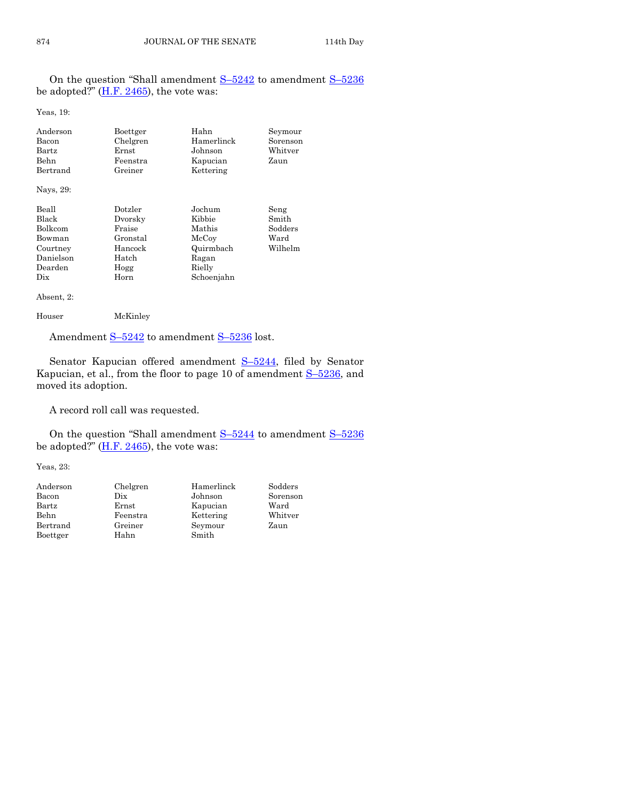On the question "Shall amendment S–[5242](http://coolice.legis.state.ia.us/Cool-ICE/default.asp?Category=billinfo&Service=Billbook&frame=1&GA=84&hbill=S5242) to amendment S–[5236](http://coolice.legis.state.ia.us/Cool-ICE/default.asp?Category=billinfo&Service=Billbook&frame=1&GA=84&hbill=S5236) be adopted?"  $(H.F. 2465)$ , the vote was:

Yeas, 19:

| Anderson  | Boettger | Hahn       | Seymour  |
|-----------|----------|------------|----------|
| Bacon     | Chelgren | Hamerlinck | Sorenson |
| Bartz     | Ernst    | Johnson    | Whitver  |
| Behn      | Feenstra | Kapucian   | Zaun     |
| Bertrand  | Greiner  | Kettering  |          |
| Nays, 29: |          |            |          |
| Beall     | Dotzler  | Jochum     | Seng     |
| Black     | Dvorsky  | Kibbie     | Smith    |
| Bolkcom   | Fraise   | Mathis     | Sodders  |
| Bowman    | Gronstal | McCoy      | Ward     |
| Courtney  | Hancock  | Quirmbach  | Wilhelm  |
| Danielson | Hatch    | Ragan      |          |
| Dearden   | Hogg     | Rielly     |          |
| Dix       | Horn     | Schoenjahn |          |

Absent, 2:

```
Houser McKinley
```
Amendment S-[5242](http://coolice.legis.state.ia.us/Cool-ICE/default.asp?Category=billinfo&Service=Billbook&frame=1&GA=84&hbill=S5242) to amendment S-[5236](http://coolice.legis.state.ia.us/Cool-ICE/default.asp?Category=billinfo&Service=Billbook&frame=1&GA=84&hbill=S5236) lost.

Senator Kapucian offered amendment S-[5244,](http://coolice.legis.state.ia.us/Cool-ICE/default.asp?Category=billinfo&Service=Billbook&frame=1&GA=84&hbill=S5244) filed by Senator Kapucian, et al., from the floor to page 10 of amendment  $S-5236$ , and moved its adoption.

A record roll call was requested.

On the question "Shall amendment S–[5244](http://coolice.legis.state.ia.us/Cool-ICE/default.asp?Category=billinfo&Service=Billbook&frame=1&GA=84&hbill=S5244) to amendment S–[5236](http://coolice.legis.state.ia.us/Cool-ICE/default.asp?Category=billinfo&Service=Billbook&frame=1&GA=84&hbill=S5236) be adopted?"  $(H.F. 2465)$ , the vote was:

Yeas, 23:

| Anderson | Chelgren | Hamerlinck | Sodders  |
|----------|----------|------------|----------|
| Bacon    | Dix      | Johnson    | Sorenson |
| Bartz    | Ernst    | Kapucian   | Ward     |
| Behn     | Feenstra | Kettering  | Whitver  |
| Bertrand | Greiner  | Seymour    | Zaun     |
| Boettger | Hahn     | Smith      |          |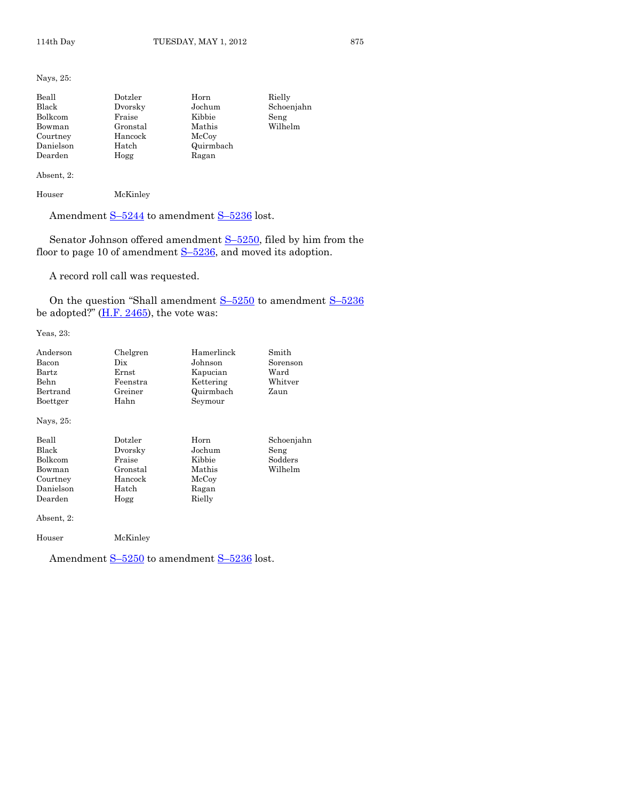Nays, 25:

| Beall     | Dotzler  | Horn      | Rielly     |
|-----------|----------|-----------|------------|
| Black     | Dvorsky  | Jochum    | Schoenjahn |
| Bolkcom   | Fraise   | Kibbie    | Seng       |
| Bowman    | Gronstal | Mathis    | Wilhelm    |
| Courtney  | Hancock  | McCoy     |            |
| Danielson | Hatch    | Quirmbach |            |
| Dearden   | Hogg     | Ragan     |            |

#### Absent, 2:

Houser McKinley

Amendment S-[5244](http://coolice.legis.state.ia.us/Cool-ICE/default.asp?Category=billinfo&Service=Billbook&frame=1&GA=84&hbill=S5244) to amendment S-[5236](http://coolice.legis.state.ia.us/Cool-ICE/default.asp?Category=billinfo&Service=Billbook&frame=1&GA=84&hbill=S5236) lost.

Senator Johnson offered amendment S–[5250,](http://coolice.legis.state.ia.us/Cool-ICE/default.asp?Category=billinfo&Service=Billbook&frame=1&GA=84&hbill=S5250) filed by him from the floor to page 10 of amendment  $S-5236$ , and moved its adoption.

A record roll call was requested.

On the question "Shall amendment S–[5250](http://coolice.legis.state.ia.us/Cool-ICE/default.asp?Category=billinfo&Service=Billbook&frame=1&GA=84&hbill=S5250) to amendment S–[5236](http://coolice.legis.state.ia.us/Cool-ICE/default.asp?Category=billinfo&Service=Billbook&frame=1&GA=84&hbill=S5236) be adopted?"  $(\underline{H.F. 2465})$ , the vote was:

Yeas, 23:

| Anderson     | Chelgren                        | Hamerlinck | Smith      |
|--------------|---------------------------------|------------|------------|
| Bacon        | $_{\rm \scriptscriptstyle Dix}$ | Johnson    | Sorenson   |
| $\rm{Bartz}$ | Ernst                           | Kapucian   | Ward       |
| Behn         | Feenstra                        | Kettering  | Whitver    |
| Bertrand     | Greiner                         | Quirmbach  | Zaun       |
| Boettger     | Hahn                            | Seymour    |            |
| Nays, 25:    |                                 |            |            |
| Beall        | Dotzler                         | Horn       | Schoenjahn |
| Black        | Dvorsky                         | Jochum     | Seng       |
| Bolkcom      | Fraise                          | Kibbie     | Sodders    |
| Bowman       | Gronstal                        | Mathis     | Wilhelm    |
| Courtney     | Hancock                         | McCoy      |            |
| Danielson    | Hatch                           | Ragan      |            |
| Dearden      | Hogg                            | Rielly     |            |
| Absent, 2:   |                                 |            |            |
| Houser       | McKinley                        |            |            |

Amendment S-[5250](http://coolice.legis.state.ia.us/Cool-ICE/default.asp?Category=billinfo&Service=Billbook&frame=1&GA=84&hbill=S5250) to amendment S-[5236](http://coolice.legis.state.ia.us/Cool-ICE/default.asp?Category=billinfo&Service=Billbook&frame=1&GA=84&hbill=S5236) lost.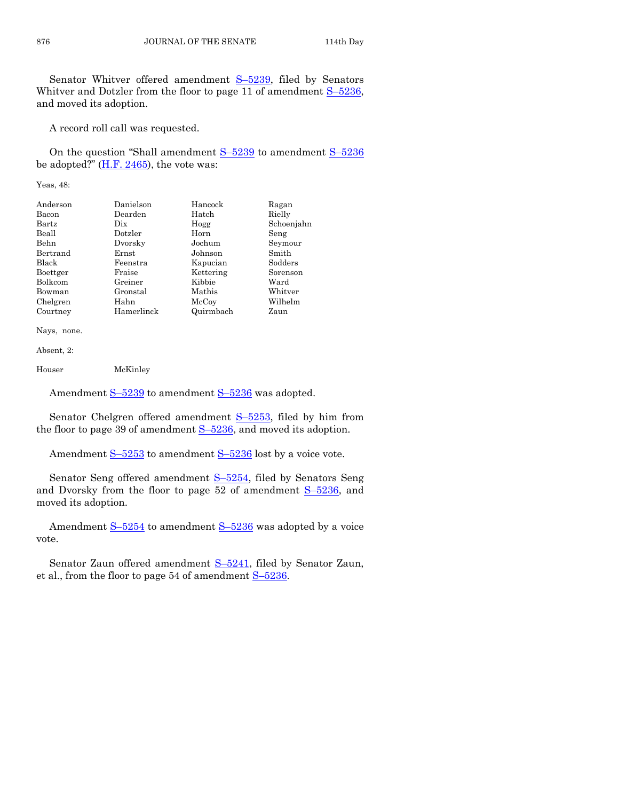Senator Whitver offered amendment S–[5239,](http://coolice.legis.state.ia.us/Cool-ICE/default.asp?Category=billinfo&Service=Billbook&frame=1&GA=84&hbill=S5239) filed by Senators Whitver and Dotzler from the floor to page 11 of amendment  $S-5236$ , and moved its adoption.

A record roll call was requested.

On the question "Shall amendment  $S-5239$  $S-5239$  to amendment  $S-5236$  $S-5236$ be adopted?"  $(H.F. 2465)$ , the vote was:

Yeas, 48:

| Anderson | Danielson   | Hancock   | Ragan      |
|----------|-------------|-----------|------------|
| Bacon    | Dearden     | Hatch     | Rielly     |
| Bartz    | Dix         | Hogg      | Schoenjahn |
| Beall    | Dotzler     | Horn      | Seng       |
| Behn     | Dvorsky     | Jochum    | Seymour    |
| Bertrand | $\rm Ernst$ | Johnson   | Smith      |
| Black    | Feenstra    | Kapucian  | Sodders    |
| Boettger | Fraise      | Kettering | Sorenson   |
| Bolkcom  | Greiner     | Kibbie    | Ward       |
| Bowman   | Gronstal    | Mathis    | Whitver    |
| Chelgren | Hahn        | McCoy     | Wilhelm    |
| Courtney | Hamerlinck  | Quirmbach | Zaun       |

Nays, none.

Absent, 2:

Houser McKinley

Amendment S-[5239](http://coolice.legis.state.ia.us/Cool-ICE/default.asp?Category=billinfo&Service=Billbook&frame=1&GA=84&hbill=S5239) to amendment S-[5236](http://coolice.legis.state.ia.us/Cool-ICE/default.asp?Category=billinfo&Service=Billbook&frame=1&GA=84&hbill=S5236) was adopted.

Senator Chelgren offered amendment S-[5253,](http://coolice.legis.state.ia.us/Cool-ICE/default.asp?Category=billinfo&Service=Billbook&frame=1&GA=84&hbill=S5253) filed by him from the floor to page 39 of amendment  $S-5236$ , and moved its adoption.

Amendment  $S-5253$  $S-5253$  to amendment  $S-5236$  $S-5236$  lost by a voice vote.

Senator Seng offered amendment S-[5254,](http://coolice.legis.state.ia.us/Cool-ICE/default.asp?Category=billinfo&Service=Billbook&frame=1&GA=84&hbill=S5254) filed by Senators Seng and Dvorsky from the floor to page  $52$  of amendment  $S-5236$ , and moved its adoption.

Amendment S-[5254](http://coolice.legis.state.ia.us/Cool-ICE/default.asp?Category=billinfo&Service=Billbook&frame=1&GA=84&hbill=S5254) to amendment S-[5236](http://coolice.legis.state.ia.us/Cool-ICE/default.asp?Category=billinfo&Service=Billbook&frame=1&GA=84&hbill=S5236) was adopted by a voice vote.

Senator Zaun offered amendment S–[5241,](http://coolice.legis.state.ia.us/Cool-ICE/default.asp?Category=billinfo&Service=Billbook&frame=1&GA=84&hbill=S5241) filed by Senator Zaun, et al., from the floor to page 54 of amendment  $S-5236$ .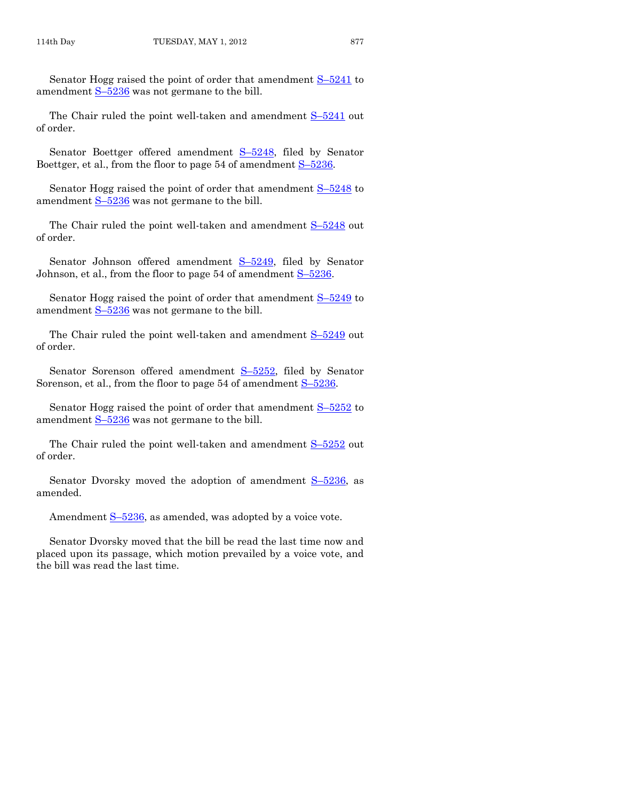Senator Hogg raised the point of order that amendment S–[5241](http://coolice.legis.state.ia.us/Cool-ICE/default.asp?Category=billinfo&Service=Billbook&frame=1&GA=84&hbill=S5241) to amendment  $S-5236$  $S-5236$  was not germane to the bill.

The Chair ruled the point well-taken and amendment  $S-5241$  $S-5241$  out of order.

Senator Boettger offered amendment S–[5248,](http://coolice.legis.state.ia.us/Cool-ICE/default.asp?Category=billinfo&Service=Billbook&frame=1&GA=84&hbill=S5248) filed by Senator Boettger, et al., from the floor to page 54 of amendment  $S-5236$ .

Senator Hogg raised the point of order that amendment  $S-5248$  $S-5248$  to amendment  $S-5236$  $S-5236$  was not germane to the bill.

The Chair ruled the point well-taken and amendment  $S-5248$  $S-5248$  out of order.

Senator Johnson offered amendment S-[5249,](http://coolice.legis.state.ia.us/Cool-ICE/default.asp?Category=billinfo&Service=Billbook&frame=1&GA=84&hbill=S5249) filed by Senator Johnson, et al., from the floor to page 54 of amendment S–[5236.](http://coolice.legis.state.ia.us/Cool-ICE/default.asp?Category=billinfo&Service=Billbook&frame=1&GA=84&hbill=S5236)

Senator Hogg raised the point of order that amendment S–[5249](http://coolice.legis.state.ia.us/Cool-ICE/default.asp?Category=billinfo&Service=Billbook&frame=1&GA=84&hbill=S5249) to amendment  $S-5236$  $S-5236$  was not germane to the bill.

The Chair ruled the point well-taken and amendment  $S-5249$  $S-5249$  out of order.

Senator Sorenson offered amendment S-[5252,](http://coolice.legis.state.ia.us/Cool-ICE/default.asp?Category=billinfo&Service=Billbook&frame=1&GA=84&hbill=S5252) filed by Senator Sorenson, et al., from the floor to page 54 of amendment  $S-5236$ .

Senator Hogg raised the point of order that amendment S–[5252](http://coolice.legis.state.ia.us/Cool-ICE/default.asp?Category=billinfo&Service=Billbook&frame=1&GA=84&hbill=S5252) to amendment  $S-5236$  $S-5236$  was not germane to the bill.

The Chair ruled the point well-taken and amendment S-[5252](http://coolice.legis.state.ia.us/Cool-ICE/default.asp?Category=billinfo&Service=Billbook&frame=1&GA=84&hbill=S5252) out of order.

Senator Dvorsky moved the adoption of amendment S–[5236,](http://coolice.legis.state.ia.us/Cool-ICE/default.asp?Category=billinfo&Service=Billbook&frame=1&GA=84&hbill=S5236) as amended.

Amendment S-[5236,](http://coolice.legis.state.ia.us/Cool-ICE/default.asp?Category=billinfo&Service=Billbook&frame=1&GA=84&hbill=S5236) as amended, was adopted by a voice vote.

Senator Dvorsky moved that the bill be read the last time now and placed upon its passage, which motion prevailed by a voice vote, and the bill was read the last time.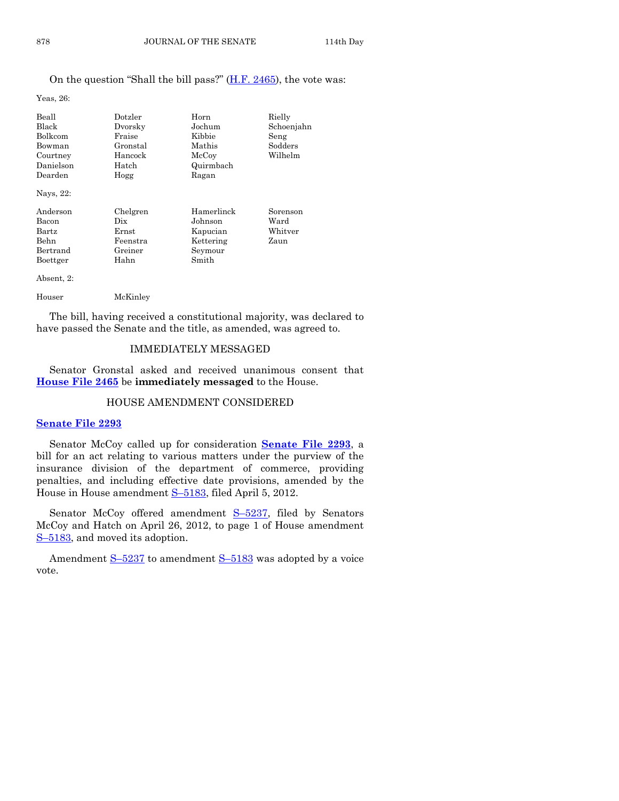#### On the question "Shall the bill pass?" [\(H.F. 2465\)](http://coolice.legis.state.ia.us/Cool-ICE/default.asp?Category=billinfo&Service=Billbook&frame=1&GA=84&hbill=HF2465), the vote was:

Yeas, 26:

| Beall          | Dotzler     | Horn                | Rielly     |
|----------------|-------------|---------------------|------------|
| Black          | Dvorsky     | Jochum              | Schoenjahn |
| Bolkcom        | Fraise      | Kibbie              | Seng       |
| Bowman         | Gronstal    | Mathis              | Sodders    |
| Courtney       | Hancock     | $_{\mathrm{McCov}}$ | Wilhelm    |
| Danielson      | Hatch       | Quirmbach           |            |
| Dearden        | Hogg        | Ragan               |            |
| Nays, 22:      |             |                     |            |
| Anderson       | Chelgren    | Hamerlinck          | Sorenson   |
| Bacon          | Dix         | Johnson             | Ward       |
| $_{\rm Bartz}$ | $\rm Ernst$ | Kapucian            | Whitver    |
| Behn           | Feenstra    | Kettering           | Zaun       |
| Bertrand       | Greiner     | Seymour             |            |
| Boettger       | Hahn        | Smith               |            |
| Absent, 2:     |             |                     |            |
|                |             |                     |            |

The bill, having received a constitutional majority, was declared to have passed the Senate and the title, as amended, was agreed to.

#### IMMEDIATELY MESSAGED

Senator Gronstal asked and received unanimous consent that **[House File 2465](http://coolice.legis.state.ia.us/Cool-ICE/default.asp?Category=billinfo&Service=Billbook&frame=1&GA=84&hbill=HF2465)** be **immediately messaged** to the House.

#### HOUSE AMENDMENT CONSIDERED

#### **[Senate File 2293](http://coolice.legis.state.ia.us/Cool-ICE/default.asp?Category=billinfo&Service=Billbook&frame=1&GA=84&hbill=SF2293)**

Senator McCoy called up for consideration **[Senate File 2293](http://coolice.legis.state.ia.us/Cool-ICE/default.asp?Category=billinfo&Service=Billbook&frame=1&GA=84&hbill=SF2293)**, a bill for an act relating to various matters under the purview of the insurance division of the department of commerce, providing penalties, and including effective date provisions, amended by the House in House amendment S–[5183,](http://coolice.legis.state.ia.us/Cool-ICE/default.asp?Category=billinfo&Service=Billbook&frame=1&GA=84&hbill=S5183) filed April 5, 2012.

Senator McCoy offered amendment S-[5237,](http://coolice.legis.state.ia.us/Cool-ICE/default.asp?Category=billinfo&Service=Billbook&frame=1&GA=84&hbill=S5237) filed by Senators McCoy and Hatch on April 26, 2012, to page 1 of House amendment S–[5183,](http://coolice.legis.state.ia.us/Cool-ICE/default.asp?Category=billinfo&Service=Billbook&frame=1&GA=84&hbill=S5183) and moved its adoption.

Amendment  $S-5237$  $S-5237$  to amendment  $S-5183$  $S-5183$  was adopted by a voice vote.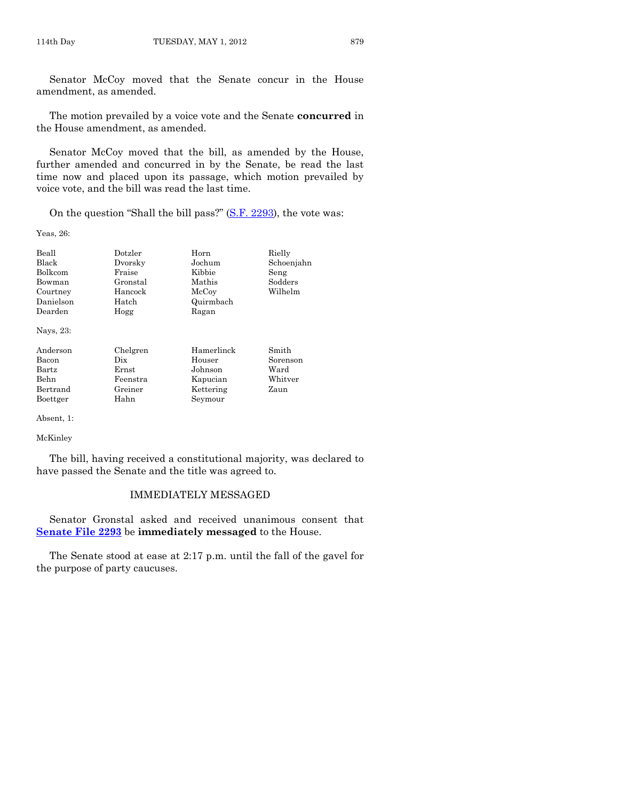Senator McCoy moved that the Senate concur in the House amendment, as amended.

The motion prevailed by a voice vote and the Senate **concurred** in the House amendment, as amended.

Senator McCoy moved that the bill, as amended by the House, further amended and concurred in by the Senate, be read the last time now and placed upon its passage, which motion prevailed by voice vote, and the bill was read the last time.

On the question "Shall the bill pass?" [\(S.F. 2293\)](http://coolice.legis.state.ia.us/Cool-ICE/default.asp?Category=billinfo&Service=Billbook&frame=1&GA=84&hbill=SF2293), the vote was:

Yeas, 26:

| Beall     | Dotzler  | Horn       | Rielly     |
|-----------|----------|------------|------------|
| Black     | Dvorsky  | Jochum     | Schoenjahn |
| Bolkcom   | Fraise   | Kibbie     | Seng       |
| Bowman    | Gronstal | Mathis     | Sodders    |
| Courtney  | Hancock  | McCoy      | Wilhelm    |
| Danielson | Hatch    | Quirmbach  |            |
| Dearden   | Hogg     | Ragan      |            |
| Nays, 23: |          |            |            |
| Anderson  | Chelgren | Hamerlinck | Smith      |
| Bacon     | Dix      | Houser     | Sorenson   |
| Bartz     | Ernst    | Johnson    | Ward       |
| Behn      | Feenstra | Kapucian   | Whitver    |
| Bertrand  | Greiner  | Kettering  | Zaun       |

Boettger Hahn Seymour

Absent, 1:

McKinley

The bill, having received a constitutional majority, was declared to have passed the Senate and the title was agreed to.

#### IMMEDIATELY MESSAGED

Senator Gronstal asked and received unanimous consent that **[Senate File 2293](http://coolice.legis.state.ia.us/Cool-ICE/default.asp?Category=billinfo&Service=Billbook&frame=1&GA=84&hbill=SF2293)** be **immediately messaged** to the House.

The Senate stood at ease at 2:17 p.m. until the fall of the gavel for the purpose of party caucuses.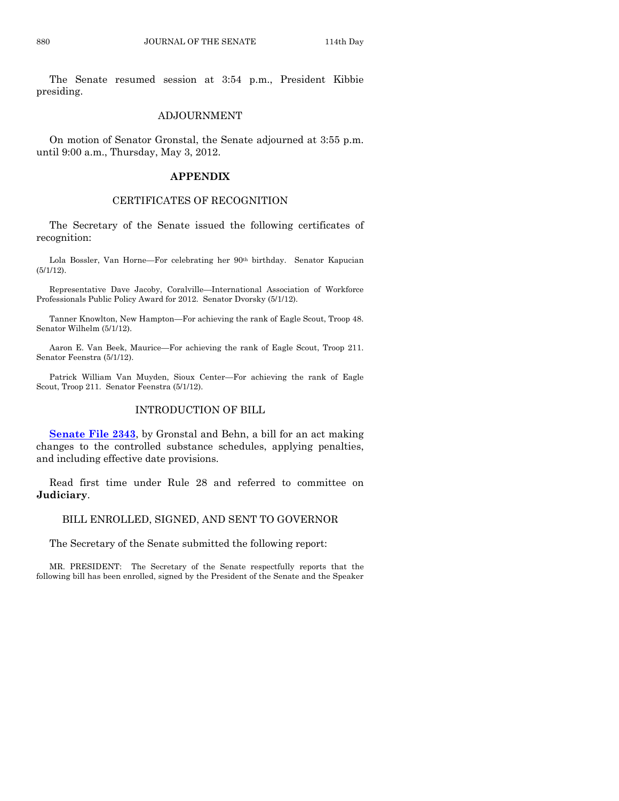The Senate resumed session at 3:54 p.m., President Kibbie presiding.

#### ADJOURNMENT

On motion of Senator Gronstal, the Senate adjourned at 3:55 p.m. until 9:00 a.m., Thursday, May 3, 2012.

#### **APPENDIX**

#### CERTIFICATES OF RECOGNITION

The Secretary of the Senate issued the following certificates of recognition:

Lola Bossler, Van Horne—For celebrating her 90<sup>th</sup> birthday. Senator Kapucian (5/1/12).

Representative Dave Jacoby, Coralville—International Association of Workforce Professionals Public Policy Award for 2012. Senator Dvorsky (5/1/12).

Tanner Knowlton, New Hampton—For achieving the rank of Eagle Scout, Troop 48. Senator Wilhelm (5/1/12).

Aaron E. Van Beek, Maurice—For achieving the rank of Eagle Scout, Troop 211. Senator Feenstra (5/1/12).

Patrick William Van Muyden, Sioux Center—For achieving the rank of Eagle Scout, Troop 211. Senator Feenstra (5/1/12).

#### INTRODUCTION OF BILL

**[Senate File 2343](http://coolice.legis.state.ia.us/Cool-ICE/default.asp?Category=billinfo&Service=Billbook&frame=1&GA=84&hbill=SF2343)**, by Gronstal and Behn, a bill for an act making changes to the controlled substance schedules, applying penalties, and including effective date provisions.

Read first time under Rule 28 and referred to committee on **Judiciary**.

#### BILL ENROLLED, SIGNED, AND SENT TO GOVERNOR

The Secretary of the Senate submitted the following report:

MR. PRESIDENT: The Secretary of the Senate respectfully reports that the following bill has been enrolled, signed by the President of the Senate and the Speaker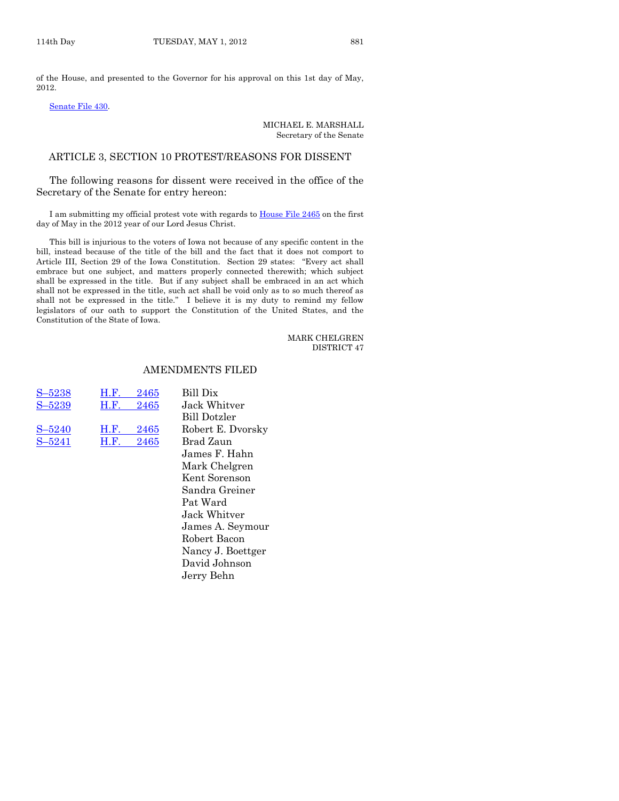of the House, and presented to the Governor for his approval on this 1st day of May, 2012.

#### [Senate File 430.](http://coolice.legis.state.ia.us/Cool-ICE/default.asp?Category=billinfo&Service=Billbook&frame=1&GA=84&hbill=SF430)

#### MICHAEL E. MARSHALL Secretary of the Senate

#### ARTICLE 3, SECTION 10 PROTEST/REASONS FOR DISSENT

The following reasons for dissent were received in the office of the Secretary of the Senate for entry hereon:

I am submitting my official protest vote with regards to [House File 2465](http://coolice.legis.state.ia.us/Cool-ICE/default.asp?Category=billinfo&Service=Billbook&frame=1&GA=84&hbill=HF2465) on the first day of May in the 2012 year of our Lord Jesus Christ.

This bill is injurious to the voters of Iowa not because of any specific content in the bill, instead because of the title of the bill and the fact that it does not comport to Article III, Section 29 of the Iowa Constitution. Section 29 states: "Every act shall embrace but one subject, and matters properly connected therewith; which subject shall be expressed in the title. But if any subject shall be embraced in an act which shall not be expressed in the title, such act shall be void only as to so much thereof as shall not be expressed in the title." I believe it is my duty to remind my fellow legislators of our oath to support the Constitution of the United States, and the Constitution of the State of Iowa.

#### MARK CHELGREN DISTRICT 47

#### AMENDMENTS FILED

| $S - 5238$ | H.F. | 2465 |
|------------|------|------|
| $S - 5239$ | H.F. | 2465 |
| $S - 5240$ | Н.Е. | 2465 |
| $S - 5241$ | H.E. | 2465 |

Bill Dix Jack Whitver Bill Dotzler Robert E. Dvorsky Brad Zaun James F. Hahn Mark Chelgren Kent Sorenson Sandra Greiner Pat Ward Jack Whitver James A. Seymour Robert Bacon Nancy J. Boettger David Johnson Jerry Behn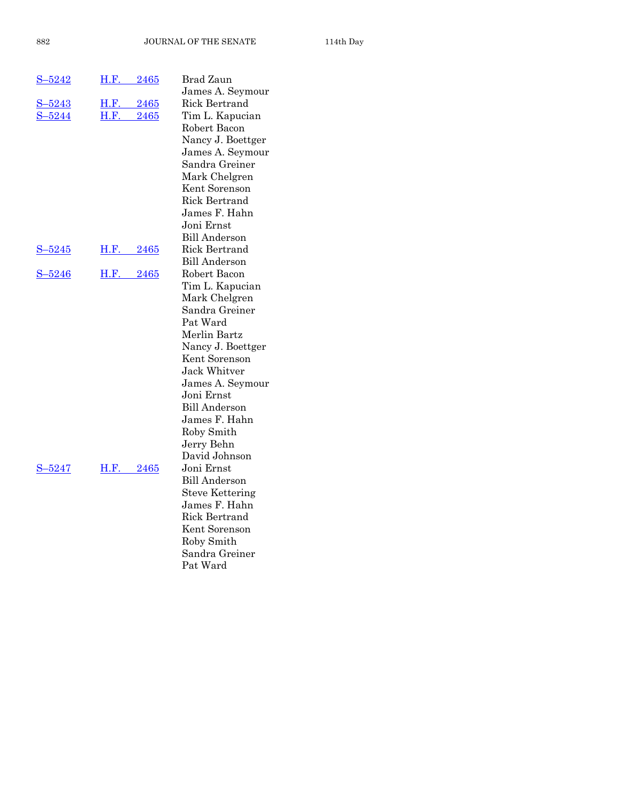| $S - 5242$   | H.F.<br>2465        | Brad Zaun                         |
|--------------|---------------------|-----------------------------------|
| $-5243$      | H.F.<br>2465        | James A. Seymour<br>Rick Bertrand |
| $-5244$<br>S | <b>H.F.</b><br>2465 | Tim L. Kapucian                   |
|              |                     | Robert Bacon                      |
|              |                     | Nancy J. Boettger                 |
|              |                     | James A. Seymour                  |
|              |                     | Sandra Greiner                    |
|              |                     | Mark Chelgren                     |
|              |                     | Kent Sorenson                     |
|              |                     | <b>Rick Bertrand</b>              |
|              |                     | James F. Hahn                     |
|              |                     | Joni Ernst                        |
|              |                     | <b>Bill Anderson</b>              |
| $S - 5245$   | H.F.<br>2465        | Rick Bertrand                     |
|              |                     | <b>Bill Anderson</b>              |
| $S - 5246$   | H.F.<br>2465        | Robert Bacon                      |
|              |                     | Tim L. Kapucian                   |
|              |                     | Mark Chelgren<br>Sandra Greiner   |
|              |                     | Pat Ward                          |
|              |                     | Merlin Bartz                      |
|              |                     | Nancy J. Boettger                 |
|              |                     | Kent Sorenson                     |
|              |                     | Jack Whitver                      |
|              |                     | James A. Seymour                  |
|              |                     | Joni Ernst                        |
|              |                     | Bill Anderson                     |
|              |                     | James F. Hahn                     |
|              |                     | Roby Smith                        |
|              |                     | Jerry Behn                        |
|              |                     | David Johnson                     |
| $S - 5247$   | H.F. 2465           | Joni Ernst                        |
|              |                     | <b>Bill Anderson</b>              |
|              |                     | <b>Steve Kettering</b>            |
|              |                     | James F. Hahn                     |
|              |                     | Rick Bertrand                     |
|              |                     | Kent Sorenson                     |
|              |                     | Roby Smith                        |
|              |                     | Sandra Greiner                    |
|              |                     | Pat Ward                          |